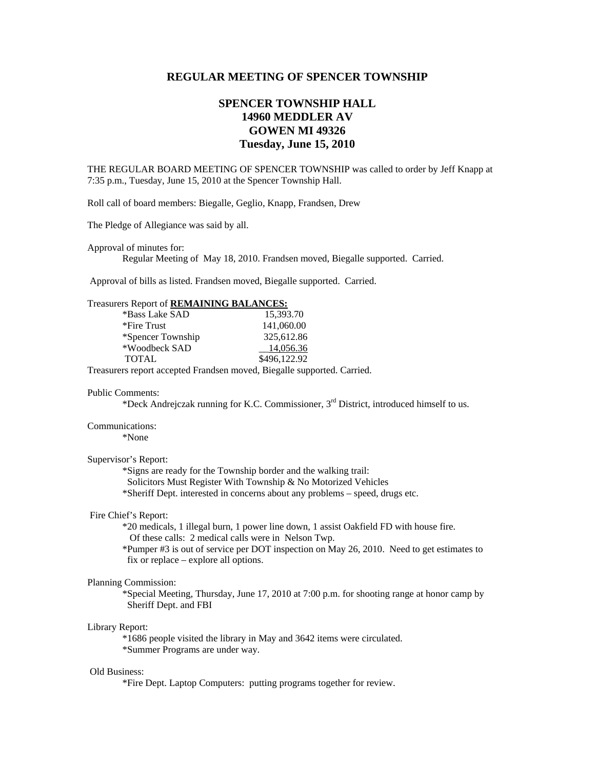## **REGULAR MEETING OF SPENCER TOWNSHIP**

# **SPENCER TOWNSHIP HALL 14960 MEDDLER AV GOWEN MI 49326 Tuesday, June 15, 2010**

THE REGULAR BOARD MEETING OF SPENCER TOWNSHIP was called to order by Jeff Knapp at 7:35 p.m., Tuesday, June 15, 2010 at the Spencer Township Hall.

Roll call of board members: Biegalle, Geglio, Knapp, Frandsen, Drew

The Pledge of Allegiance was said by all.

Approval of minutes for:

Regular Meeting of May 18, 2010. Frandsen moved, Biegalle supported. Carried.

Approval of bills as listed. Frandsen moved, Biegalle supported. Carried.

## Treasurers Report of **REMAINING BALANCES:**

| *Bass Lake SAD    | 15,393.70    |
|-------------------|--------------|
| *Fire Trust       | 141,060.00   |
| *Spencer Township | 325,612.86   |
| *Woodbeck SAD     | 14,056.36    |
| <b>TOTAL</b>      | \$496,122.92 |

Treasurers report accepted Frandsen moved, Biegalle supported. Carried.

#### Public Comments:

\*Deck Andrejczak running for K.C. Commissioner, 3rd District, introduced himself to us.

#### Communications:

\*None

## Supervisor's Report:

\*Signs are ready for the Township border and the walking trail:

Solicitors Must Register With Township & No Motorized Vehicles

\*Sheriff Dept. interested in concerns about any problems – speed, drugs etc.

## Fire Chief's Report:

 \*20 medicals, 1 illegal burn, 1 power line down, 1 assist Oakfield FD with house fire. Of these calls: 2 medical calls were in Nelson Twp.

 \*Pumper #3 is out of service per DOT inspection on May 26, 2010. Need to get estimates to fix or replace – explore all options.

## Planning Commission:

\*Special Meeting, Thursday, June 17, 2010 at 7:00 p.m. for shooting range at honor camp by Sheriff Dept. and FBI

#### Library Report:

 \*1686 people visited the library in May and 3642 items were circulated. \*Summer Programs are under way.

#### Old Business:

\*Fire Dept. Laptop Computers: putting programs together for review.